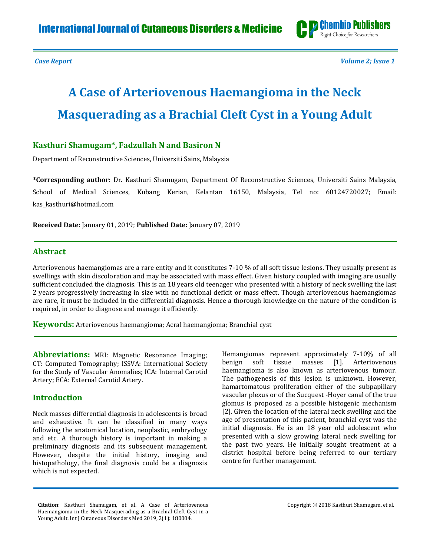

*Case Report Volume 2; Issue 1*

# **A Case of Arteriovenous Haemangioma in the Neck Masquerading as a Brachial Cleft Cyst in a Young Adult**

### **Kasthuri Shamugam\*, Fadzullah N and Basiron N**

Department of Reconstructive Sciences, Universiti Sains, Malaysia

**\*Corresponding author:** Dr. Kasthuri Shamugam, Department Of Reconstructive Sciences, Universiti Sains Malaysia, School of Medical Sciences, Kubang Kerian, Kelantan 16150, Malaysia, Tel no: 60124720027; Email: [kas\\_kasthuri@hotmail.com](mailto:kas_kasthuri@hotmail.com)

**Received Date:** January 01, 2019; **Published Date:** January 07, 2019

#### **Abstract**

Arteriovenous haemangiomas are a rare entity and it constitutes 7-10 % of all soft tissue lesions. They usually present as swellings with skin discoloration and may be associated with mass effect. Given history coupled with imaging are usually sufficient concluded the diagnosis. This is an 18 years old teenager who presented with a history of neck swelling the last 2 years progressively increasing in size with no functional deficit or mass effect. Though arteriovenous haemangiomas are rare, it must be included in the differential diagnosis. Hence a thorough knowledge on the nature of the condition is required, in order to diagnose and manage it efficiently.

**Keywords:** Arteriovenous haemangioma; Acral haemangioma; Branchial cyst

**Abbreviations:** MRI: Magnetic Resonance Imaging; CT: Computed Tomography; ISSVA: International Society for the Study of Vascular Anomalies; ICA: Internal Carotid Artery; ECA: External Carotid Artery.

#### **Introduction**

Neck masses differential diagnosis in adolescents is broad and exhaustive. It can be classified in many ways following the anatomical location, neoplastic, embryology and etc. A thorough history is important in making a preliminary diagnosis and its subsequent management. However, despite the initial history, imaging and histopathology, the final diagnosis could be a diagnosis which is not expected.

Hemangiomas represent approximately 7-10% of all benign soft tissue masses [1]. Arteriovenous haemangioma is also known as arteriovenous tumour. The pathogenesis of this lesion is unknown. However, hamartomatous proliferation either of the subpapillary vascular plexus or of the Sucquest -Hoyer canal of the true glomus is proposed as a possible histogenic mechanism [2]. Given the location of the lateral neck swelling and the age of presentation of this patient, branchial cyst was the initial diagnosis. He is an 18 year old adolescent who presented with a slow growing lateral neck swelling for the past two years. He initially sought treatment at a district hospital before being referred to our tertiary centre for further management.

**Citation**: Kasthuri Shamugam, et al. A Case of Arteriovenous Haemangioma in the Neck Masquerading as a Brachial Cleft Cyst in a Young Adult. Int J Cutaneous Disorders Med 2019, 2(1): 180004.

Copyright © 2018 Kasthuri Shamugam, et al.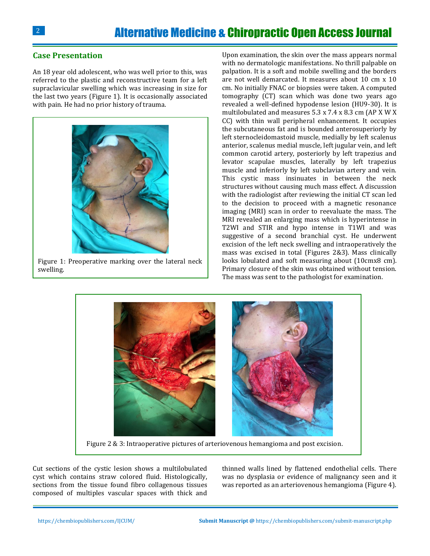#### **Case Presentation**

An 18 year old adolescent, who was well prior to this, was referred to the plastic and reconstructive team for a left supraclavicular swelling which was increasing in size for the last two years (Figure 1). It is occasionally associated with pain. He had no prior history of trauma.



Figure 1: Preoperative marking over the lateral neck swelling.

Upon examination, the skin over the mass appears normal with no dermatologic manifestations. No thrill palpable on palpation. It is a soft and mobile swelling and the borders are not well demarcated. It measures about 10 cm x 10 cm. No initially FNAC or biopsies were taken. A computed tomography (CT) scan which was done two years ago revealed a well-defined hypodense lesion (HU9-30). It is multilobulated and measures 5.3 x 7.4 x 8.3 cm (AP X W X CC) with thin wall peripheral enhancement. It occupies the subcutaneous fat and is bounded anterosuperiorly by left sternocleidomastoid muscle, medially by left scalenus anterior, scalenus medial muscle, left jugular vein, and left common carotid artery, posteriorly by left trapezius and levator scapulae muscles, laterally by left trapezius muscle and inferiorly by left subclavian artery and vein. This cystic mass insinuates in between the neck structures without causing much mass effect. A discussion with the radiologist after reviewing the initial CT scan led to the decision to proceed with a magnetic resonance imaging (MRI) scan in order to reevaluate the mass. The MRI revealed an enlarging mass which is hyperintense in T2WI and STIR and hypo intense in T1WI and was suggestive of a second branchial cyst. He underwent excision of the left neck swelling and intraoperatively the mass was excised in total (Figures 2&3). Mass clinically looks lobulated and soft measuring about (10cmx8 cm). Primary closure of the skin was obtained without tension. The mass was sent to the pathologist for examination.



Figure 2 & 3: Intraoperative pictures of arteriovenous hemangioma and post excision.

Cut sections of the cystic lesion shows a multilobulated cyst which contains straw colored fluid. Histologically, sections from the tissue found fibro collagenous tissues composed of multiples vascular spaces with thick and thinned walls lined by flattened endothelial cells. There was no dysplasia or evidence of malignancy seen and it was reported as an arteriovenous hemangioma (Figure 4).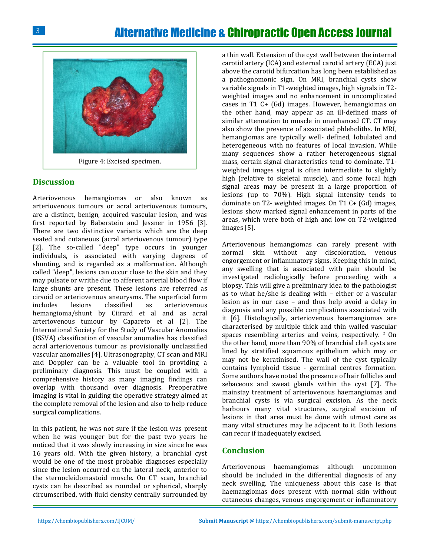## Alternative Medicine & Chiropractic Open Access Journal



Figure 4: Excised specimen.

#### **Discussion**

Arteriovenous hemangiomas or also known as arteriovenous tumours or acral arteriovenous tumours, are a distinct, benign, acquired vascular lesion, and was first reported by Baberstein and Jessner in 1956 [3]. There are two distinctive variants which are the deep seated and cutaneous (acral arteriovenous tumour) type [2]. The so-called "deep" type occurs in younger individuals, is associated with varying degrees of shunting, and is regarded as a malformation. Although called "deep", lesions can occur close to the skin and they may pulsate or writhe due to afferent arterial blood flow if large shunts are present. These lesions are referred as cirsoid or arteriovenous aneurysms. The superficial form includes lesions classified as arteriovenous hemangioma/shunt by Ciirard et al and as acral arteriovenous tumour by Capareto et al [2]. The International Society for the Study of Vascular Anomalies (ISSVA) classification of vascular anomalies has classified acral arteriovenous tumour as provisionally unclassified vascular anomalies [4]. Ultrasonography, CT scan and MRI and Doppler can be a valuable tool in providing a preliminary diagnosis. This must be coupled with a comprehensive history as many imaging findings can overlap with thousand over diagnosis. Preoperative imaging is vital in guiding the operative strategy aimed at the complete removal of the lesion and also to help reduce surgical complications.

In this patient, he was not sure if the lesion was present when he was younger but for the past two years he noticed that it was slowly increasing in size since he was 16 years old. With the given history, a branchial cyst would be one of the most probable diagnoses especially since the lesion occurred on the lateral neck, anterior to the sternocleidomastoid muscle. On CT scan, branchial cysts can be described as rounded or spherical, sharply circumscribed, with fluid density centrally surrounded by

a thin wall. Extension of the cyst wall between the internal carotid artery (ICA) and external carotid artery (ECA) just above the carotid bifurcation has long been established as a pathognomonic sign. On MRI, branchial cysts show variable signals in T1-weighted images, high signals in T2 weighted images and no enhancement in uncomplicated cases in T1 C+ (Gd) images. However, hemangiomas on the other hand, may appear as an ill-defined mass of similar attenuation to muscle in unenhanced CT. CT may also show the presence of associated phleboliths. In MRI, hemangiomas are typically well- defined, lobulated and heterogeneous with no features of local invasion. While many sequences show a rather heterogeneous signal mass, certain signal characteristics tend to dominate. T1 weighted images signal is often intermediate to slightly high (relative to skeletal muscle), and some focal high signal areas may be present in a large proportion of lesions (up to 70%). High signal intensity tends to dominate on T2- weighted images. On T1 C+ (Gd) images, lesions show marked signal enhancement in parts of the areas, which were both of high and low on T2-weighted images [5].

Arteriovenous hemangiomas can rarely present with normal skin without any discoloration, venous engorgement or inflammatory signs. Keeping this in mind, any swelling that is associated with pain should be investigated radiologically before proceeding with a biopsy. This will give a preliminary idea to the pathologist as to what he/she is dealing with – either or a vascular lesion as in our case – and thus help avoid a delay in diagnosis and any possible complications associated with it [6]. Histologically, arteriovenous haemangiomas are characterised by multiple thick and thin walled vascular spaces resembling arteries and veins, respectively. <sup>2</sup> On the other hand, more than 90% of branchial cleft cysts are lined by stratified squamous epithelium which may or may not be keratinised. The wall of the cyst typically contains lymphoid tissue - germinal centres formation. Some authors have noted the presence of hair follicles and sebaceous and sweat glands within the cyst [7]. The mainstay treatment of arteriovenous haemangiomas and branchial cysts is via surgical excision. As the neck harbours many vital structures, surgical excision of lesions in that area must be done with utmost care as many vital structures may lie adjacent to it. Both lesions can recur if inadequately excised.

#### **Conclusion**

Arteriovenous haemangiomas although uncommon should be included in the differential diagnosis of any neck swelling. The uniqueness about this case is that haemangiomas does present with normal skin without cutaneous changes, venous engorgement or inflammatory